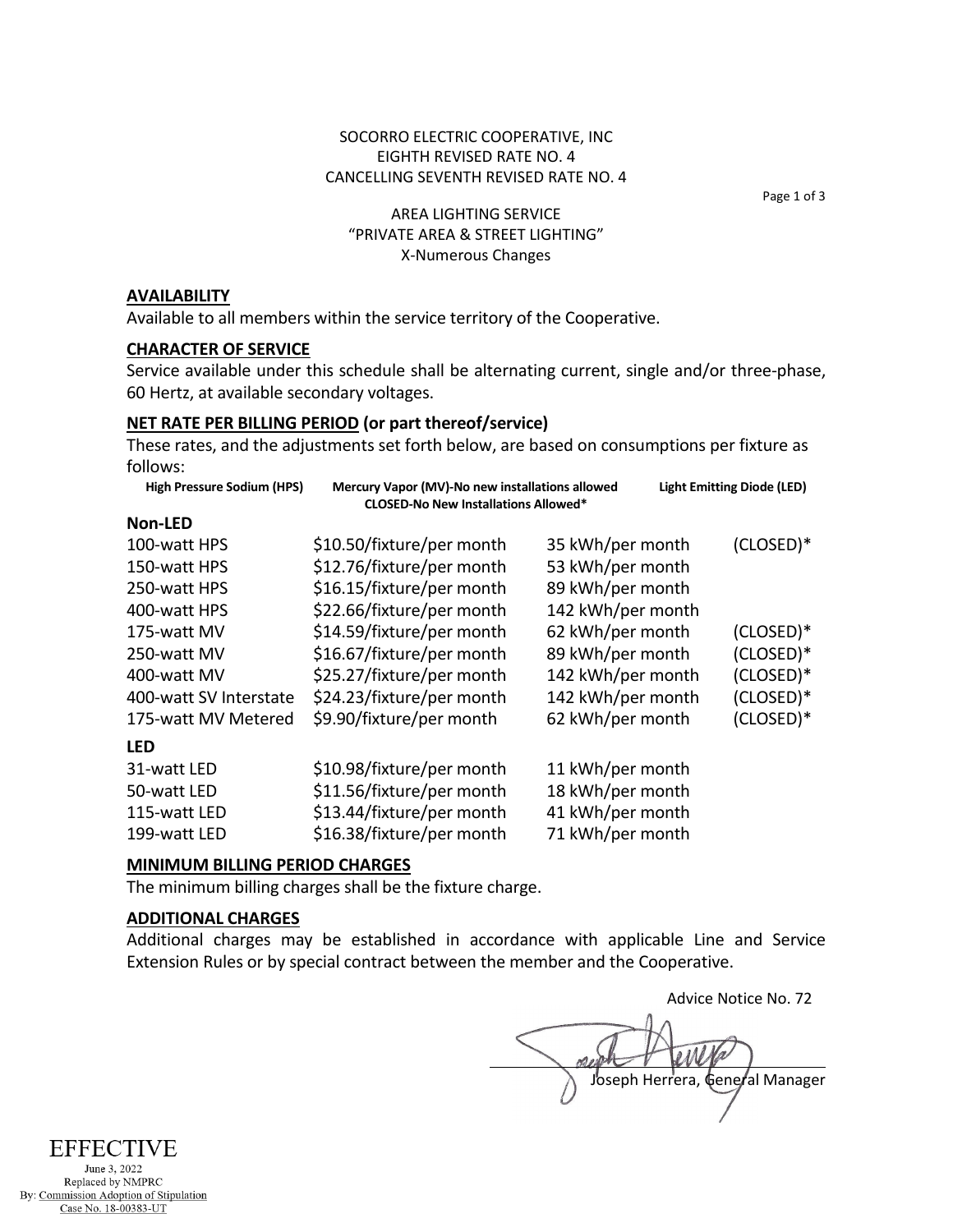# SOCORRO ELECTRIC COOPERATIVE, INC EIGHTH REVISED RATE NO. 4 CANCELLING SEVENTH REVISED RATE NO. 4

Page 1 of 3

# AREA LIGHTING SERVICE "PRIVATE AREA & STREET LIGHTING" X-Numerous Changes

#### **AVAILABILITY**

Available to all members within the service territory of the Cooperative.

#### **CHARACTER OF SERVICE**

Service available under this schedule shall be alternating current, single and/or three-phase, 60 Hertz, at available secondary voltages.

# **NET RATE PER BILLING PERIOD (or part thereof/service)**

These rates, and the adjustments set forth below, are based on consumptions per fixture as follows:

| Mercury Vapor (MV)-No new installations allowed<br><b>Light Emitting Diode (LED)</b><br><b>CLOSED-No New Installations Allowed*</b> |  |
|-------------------------------------------------------------------------------------------------------------------------------------|--|
|                                                                                                                                     |  |
| $(CLOSED)*$<br>35 kWh/per month                                                                                                     |  |
| 53 kWh/per month                                                                                                                    |  |
| 89 kWh/per month                                                                                                                    |  |
| 142 kWh/per month                                                                                                                   |  |
| (CLOSED)*<br>62 kWh/per month                                                                                                       |  |
| (CLOSED)*<br>89 kWh/per month                                                                                                       |  |
| 142 kWh/per month<br>(CLOSED)*                                                                                                      |  |
| 142 kWh/per month<br>(CLOSED)*                                                                                                      |  |
| (CLOSED)*<br>62 kWh/per month                                                                                                       |  |
|                                                                                                                                     |  |
| 11 kWh/per month                                                                                                                    |  |
| 18 kWh/per month                                                                                                                    |  |
| 41 kWh/per month                                                                                                                    |  |
| 71 kWh/per month                                                                                                                    |  |
|                                                                                                                                     |  |

### **MINIMUM BILLING PERIOD CHARGES**

The minimum billing charges shall be the fixture charge.

# **ADDITIONAL CHARGES**

Additional charges may be established in accordance with applicable Line and Service Extension Rules or by special contract between the member and the Cooperative.

Advice Notice No. 72 Joseph Herrera, General Manager

# **EFFECTIVE**

June 3, 2022 Replaced by NMPRC By: Commission Adoption of Stipulation Case No. 18-00383-UT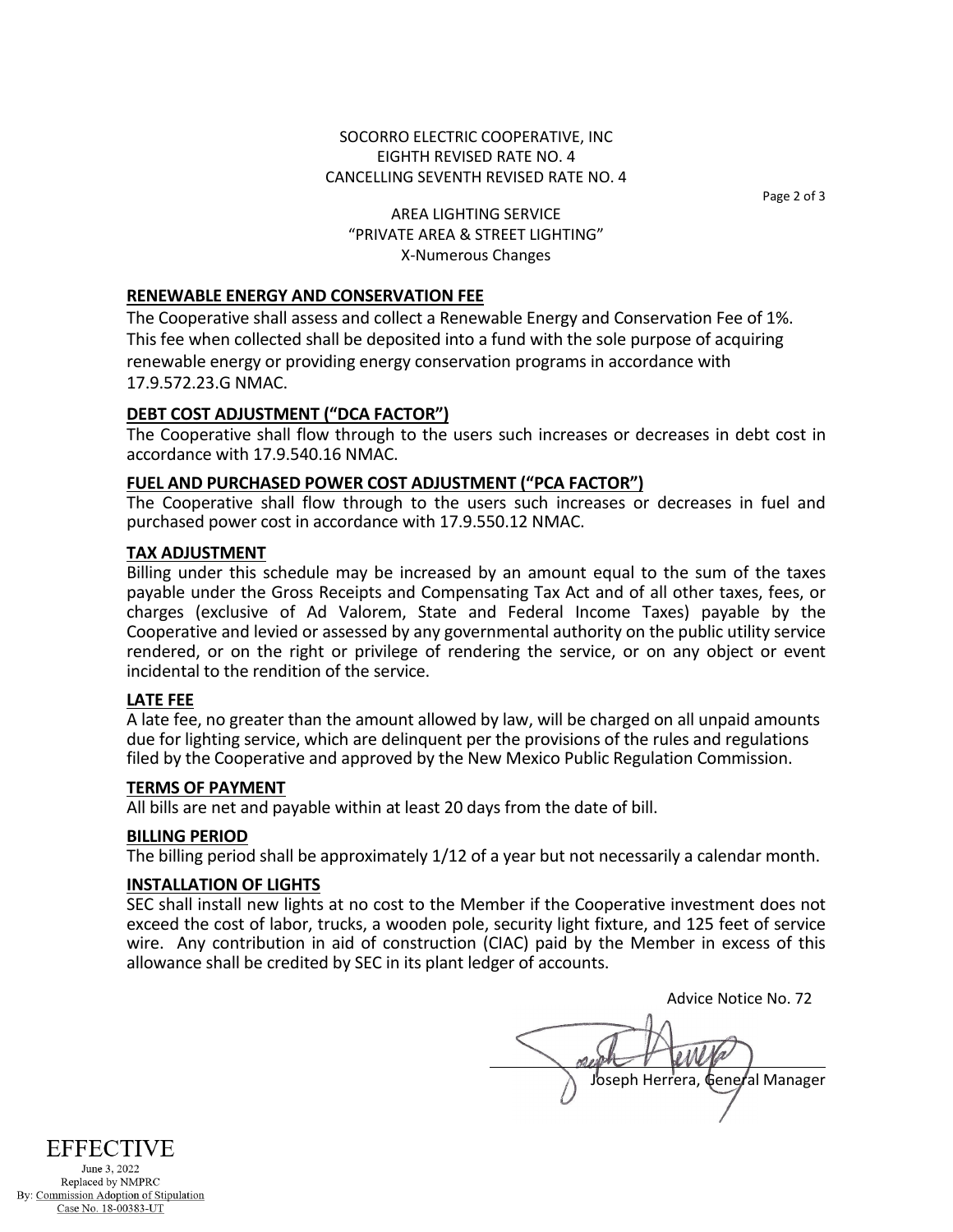# SOCORRO ELECTRIC COOPERATIVE, INC EIGHTH REVISED RATE NO. 4 CANCELLING SEVENTH REVISED RATE NO. 4

Page 2 of 3

# AREA LIGHTING SERVICE "PRIVATE AREA & STREET LIGHTING" X-Numerous Changes

# **RENEWABLE ENERGY AND CONSERVATION FEE**

The Cooperative shall assess and collect a Renewable Energy and Conservation Fee of 1%. This fee when collected shall be deposited into a fund with the sole purpose of acquiring renewable energy or providing energy conservation programs in accordance with 17.9.572.23.G NMAC.

# **DEBT COST ADJUSTMENT ("DCA FACTOR")**

The Cooperative shall flow through to the users such increases or decreases in debt cost in accordance with 17.9.540.16 NMAC.

## **FUEL AND PURCHASED POWER COST ADJUSTMENT ("PCA FACTOR")**

The Cooperative shall flow through to the users such increases or decreases in fuel and purchased power cost in accordance with 17.9.550.12 NMAC.

#### **TAX ADJUSTMENT**

Billing under this schedule may be increased by an amount equal to the sum of the taxes payable under the Gross Receipts and Compensating Tax Act and of all other taxes, fees, or charges (exclusive of Ad Valorem, State and Federal Income Taxes) payable by the Cooperative and levied or assessed by any governmental authority on the public utility service rendered, or on the right or privilege of rendering the service, or on any object or event incidental to the rendition of the service.

# **LATE FEE**

A late fee, no greater than the amount allowed by law, will be charged on all unpaid amounts due for lighting service, which are delinquent per the provisions of the rules and regulations filed by the Cooperative and approved by the New Mexico Public Regulation Commission.

#### **TERMS OF PAYMENT**

All bills are net and payable within at least 20 days from the date of bill.

#### **BILLING PERIOD**

The billing period shall be approximately 1/12 of a year but not necessarily a calendar month.

## **INSTALLATION OF LIGHTS**

SEC shall install new lights at no cost to the Member if the Cooperative investment does not exceed the cost of labor, trucks, a wooden pole, security light fixture, and 125 feet of service wire. Any contribution in aid of construction (CIAC) paid by the Member in excess of this allowance shall be credited by SEC in its plant ledger of accounts.

Advice Notice No. 72 Joseph Herrera, General Manager

**EFFECTIVE** June 3, 2022

Replaced by NMPRC By: Commission Adoption of Stipulation Case No. 18-00383-UT